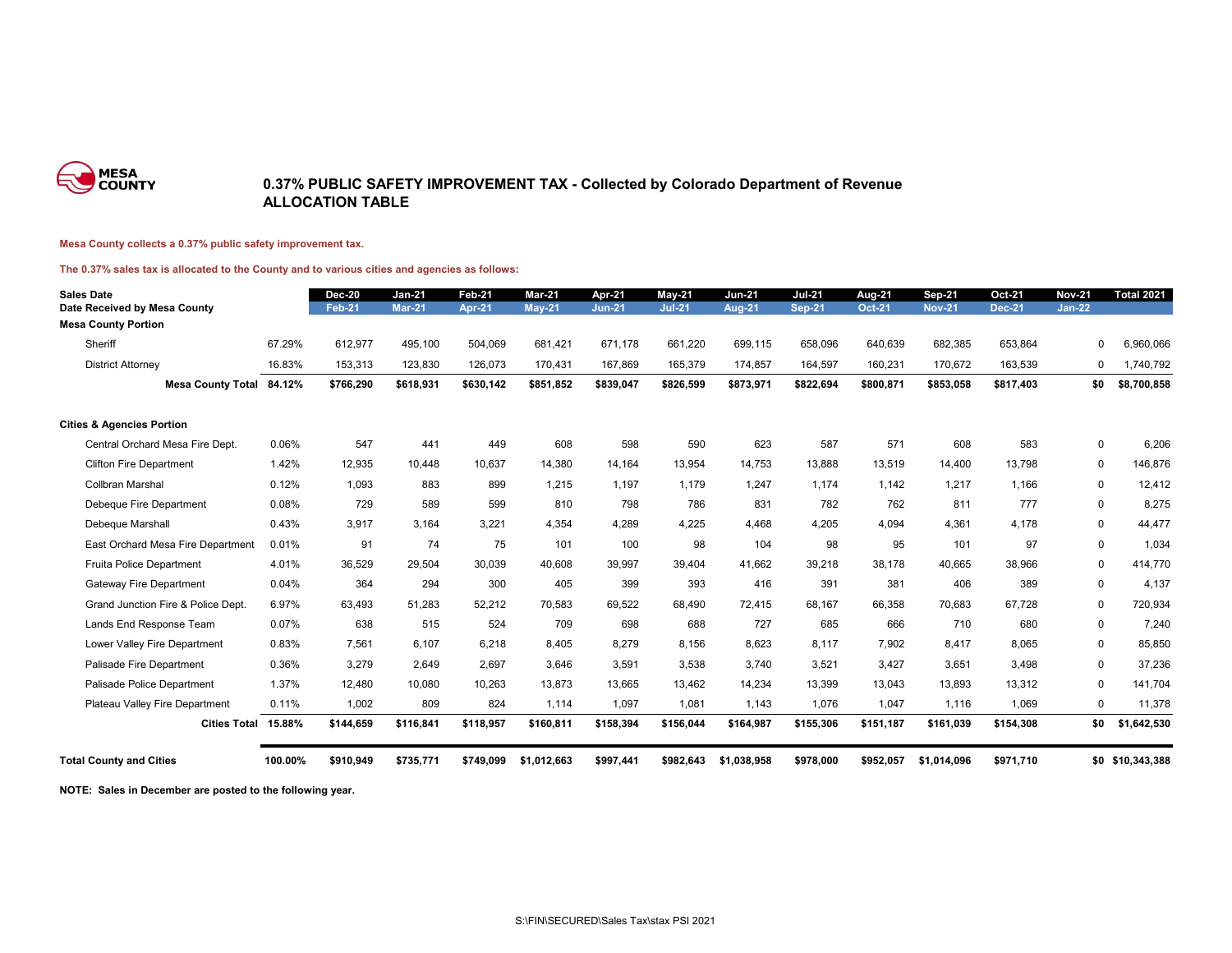

### **0.37% PUBLIC SAFETY IMPROVEMENT TAX - Collected by Colorado Department of Revenue ALLOCATION TABLE**

#### **Mesa County collects a 0.37% public safety improvement tax.**

#### **The 0.37% sales tax is allocated to the County and to various cities and agencies as follows:**

| <b>Sales Date</b><br>Date Received by Mesa County |         | <b>Dec-20</b><br><b>Feb-21</b> | <b>Jan-21</b><br><b>Mar-21</b> | Feb-21<br><b>Apr-21</b> | Mar-21<br><b>May-21</b> | Apr-21<br><b>Jun-21</b> | <b>May-21</b><br><b>Jul-21</b> | <b>Jun-21</b><br><b>Aug-21</b> | <b>Jul-21</b><br><b>Sep-21</b> | Aug-21<br><b>Oct-21</b> | <b>Sep-21</b><br><b>Nov-21</b> | <b>Oct-21</b><br><b>Dec-21</b> | <b>Nov-21</b><br>$Jan-22$ | <b>Total 2021</b> |
|---------------------------------------------------|---------|--------------------------------|--------------------------------|-------------------------|-------------------------|-------------------------|--------------------------------|--------------------------------|--------------------------------|-------------------------|--------------------------------|--------------------------------|---------------------------|-------------------|
| <b>Mesa County Portion</b>                        |         |                                |                                |                         |                         |                         |                                |                                |                                |                         |                                |                                |                           |                   |
| Sheriff                                           | 67.29%  | 612,977                        | 495.100                        | 504,069                 | 681,421                 | 671.178                 | 661.220                        | 699,115                        | 658,096                        | 640,639                 | 682,385                        | 653,864                        | 0                         | 6,960,066         |
| <b>District Attorney</b>                          | 16.83%  | 153,313                        | 123,830                        | 126,073                 | 170,431                 | 167,869                 | 165,379                        | 174,857                        | 164,597                        | 160,231                 | 170,672                        | 163,539                        | 0                         | 1,740,792         |
| Mesa County Total 84.12%                          |         | \$766,290                      | \$618,931                      | \$630,142               | \$851,852               | \$839,047               | \$826,599                      | \$873,971                      | \$822,694                      | \$800,871               | \$853,058                      | \$817,403                      | \$0                       | \$8,700,858       |
| <b>Cities &amp; Agencies Portion</b>              |         |                                |                                |                         |                         |                         |                                |                                |                                |                         |                                |                                |                           |                   |
| Central Orchard Mesa Fire Dept.                   | 0.06%   | 547                            | 441                            | 449                     | 608                     | 598                     | 590                            | 623                            | 587                            | 571                     | 608                            | 583                            | $\mathbf 0$               | 6,206             |
| <b>Clifton Fire Department</b>                    | 1.42%   | 12,935                         | 10,448                         | 10.637                  | 14,380                  | 14,164                  | 13,954                         | 14,753                         | 13,888                         | 13,519                  | 14,400                         | 13,798                         | 0                         | 146,876           |
| <b>Collbran Marshal</b>                           | 0.12%   | 1,093                          | 883                            | 899                     | 1,215                   | 1,197                   | 1,179                          | 1,247                          | 1,174                          | 1,142                   | 1,217                          | 1,166                          | 0                         | 12,412            |
| Debeque Fire Department                           | 0.08%   | 729                            | 589                            | 599                     | 810                     | 798                     | 786                            | 831                            | 782                            | 762                     | 811                            | 777                            | $\mathbf 0$               | 8,275             |
| Debeque Marshall                                  | 0.43%   | 3,917                          | 3,164                          | 3,221                   | 4,354                   | 4,289                   | 4,225                          | 4,468                          | 4,205                          | 4,094                   | 4,361                          | 4,178                          | 0                         | 44,477            |
| East Orchard Mesa Fire Department                 | 0.01%   | 91                             | 74                             | 75                      | 101                     | 100                     | 98                             | 104                            | 98                             | 95                      | 101                            | 97                             | 0                         | 1,034             |
| Fruita Police Department                          | 4.01%   | 36,529                         | 29,504                         | 30,039                  | 40.608                  | 39,997                  | 39,404                         | 41.662                         | 39,218                         | 38,178                  | 40,665                         | 38,966                         | $\mathbf 0$               | 414,770           |
| <b>Gateway Fire Department</b>                    | 0.04%   | 364                            | 294                            | 300                     | 405                     | 399                     | 393                            | 416                            | 391                            | 381                     | 406                            | 389                            | $\mathbf 0$               | 4,137             |
| Grand Junction Fire & Police Dept.                | 6.97%   | 63,493                         | 51,283                         | 52.212                  | 70.583                  | 69,522                  | 68,490                         | 72.415                         | 68,167                         | 66,358                  | 70,683                         | 67.728                         | $\mathbf 0$               | 720,934           |
| Lands End Response Team                           | 0.07%   | 638                            | 515                            | 524                     | 709                     | 698                     | 688                            | 727                            | 685                            | 666                     | 710                            | 680                            | $\mathbf 0$               | 7,240             |
| Lower Valley Fire Department                      | 0.83%   | 7,561                          | 6.107                          | 6,218                   | 8,405                   | 8.279                   | 8,156                          | 8.623                          | 8,117                          | 7,902                   | 8,417                          | 8.065                          | 0                         | 85,850            |
| Palisade Fire Department                          | 0.36%   | 3,279                          | 2,649                          | 2,697                   | 3,646                   | 3,591                   | 3,538                          | 3,740                          | 3,521                          | 3,427                   | 3,651                          | 3,498                          | 0                         | 37,236            |
| Palisade Police Department                        | 1.37%   | 12,480                         | 10,080                         | 10,263                  | 13,873                  | 13,665                  | 13,462                         | 14,234                         | 13,399                         | 13,043                  | 13,893                         | 13,312                         | 0                         | 141,704           |
| Plateau Valley Fire Department                    | 0.11%   | 1,002                          | 809                            | 824                     | 1,114                   | 1,097                   | 1,081                          | 1,143                          | 1,076                          | 1,047                   | 1,116                          | 1,069                          | 0                         | 11,378            |
| Cities Total 15.88%                               |         | \$144,659                      | \$116,841                      | \$118,957               | \$160,811               | \$158,394               | \$156,044                      | \$164,987                      | \$155,306                      | \$151,187               | \$161,039                      | \$154,308                      | \$0                       | \$1,642,530       |
| <b>Total County and Cities</b>                    | 100.00% | \$910,949                      | \$735,771                      | \$749,099               | \$1,012,663             | \$997,441               | \$982,643                      | \$1,038,958                    | \$978,000                      | \$952,057               | \$1,014,096                    | \$971,710                      |                           | \$0 \$10,343,388  |

**NOTE: Sales in December are posted to the following year.**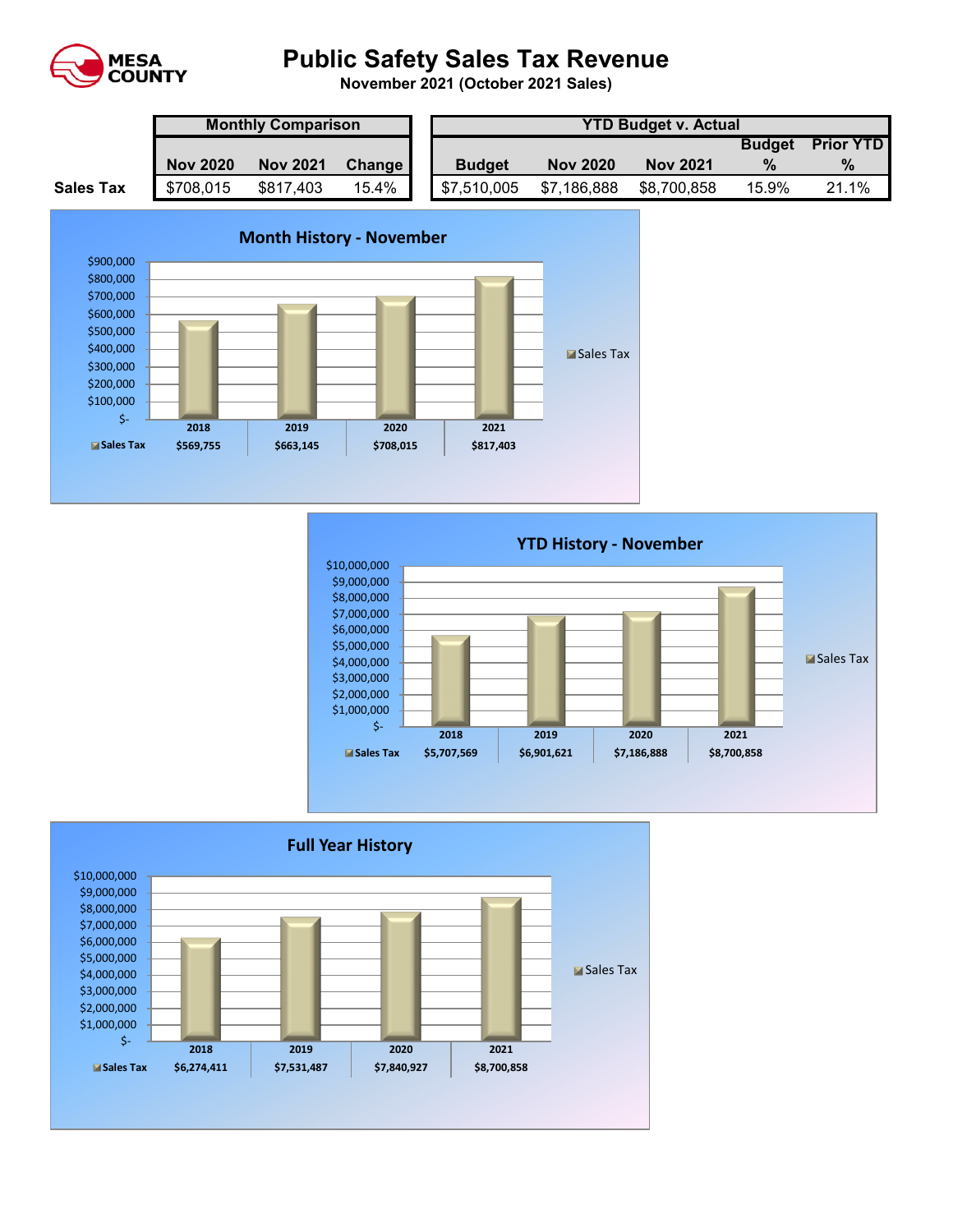

# **Public Safety Sales Tax Revenue**

**November 2021 (October 2021 Sales)** 

|                  | <b>Monthly Comparison</b> |                 |        |  | <b>YTD Budget v. Actual</b> |                 |                 |               |                  |  |  |
|------------------|---------------------------|-----------------|--------|--|-----------------------------|-----------------|-----------------|---------------|------------------|--|--|
|                  |                           |                 |        |  |                             |                 |                 | <b>Budget</b> | <b>Prior YTD</b> |  |  |
|                  | <b>Nov 2020</b>           | <b>Nov 2021</b> | Change |  | <b>Budget</b>               | <b>Nov 2020</b> | <b>Nov 2021</b> |               | $\%$             |  |  |
| <b>Sales Tax</b> | \$708,015                 | \$817,403       | 15.4%  |  | \$7,510,005                 | \$7,186,888     | \$8,700,858     | 15.9%         | 21.1%            |  |  |